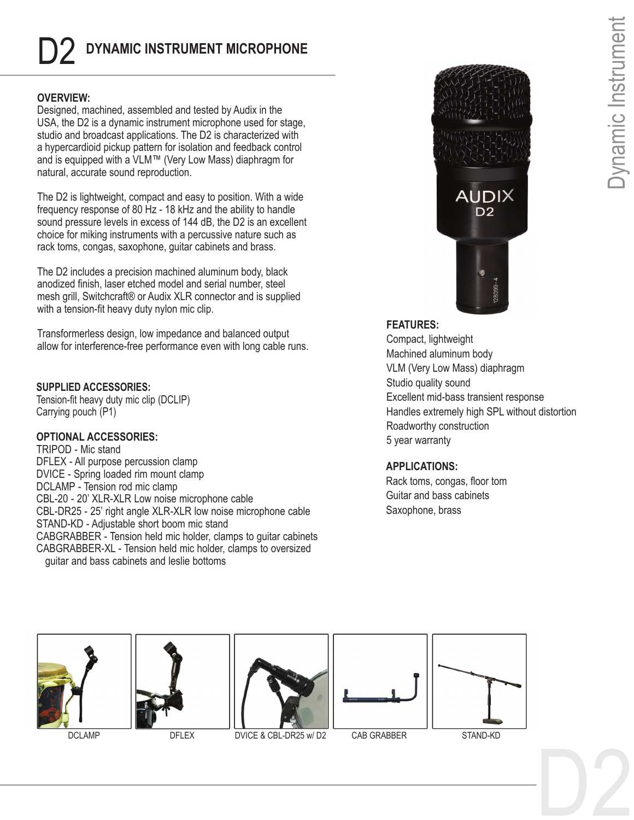# D2 **DYNAMIC INSTRUMENT MICROPHONE**

# **OVERVIEW:**

Designed, machined, assembled and tested by Audix in the USA, the D2 is a dynamic instrument microphone used for stage, studio and broadcast applications. The D2 is characterized with a hypercardioid pickup pattern for isolation and feedback control and is equipped with a VLM™ (Very Low Mass) diaphragm for natural, accurate sound reproduction.

The D2 is lightweight, compact and easy to position. With a wide frequency response of 80 Hz - 18 kHz and the ability to handle sound pressure levels in excess of 144 dB, the D2 is an excellent choice for miking instruments with a percussive nature such as rack toms, congas, saxophone, guitar cabinets and brass.

The D2 includes a precision machined aluminum body, black anodized finish, laser etched model and serial number, steel mesh grill, Switchcraft® or Audix XLR connector and is supplied with a tension-fit heavy duty nylon mic clip.

Transformerless design, low impedance and balanced output allow for interference-free performance even with long cable runs.

## **SUPPLIED ACCESSORIES:**

Tension-fit heavy duty mic clip (DCLIP) Carrying pouch (P1)

# **OPTIONAL ACCESSORIES:**

TRIPOD - Mic stand DFLEX - All purpose percussion clamp DVICE - Spring loaded rim mount clamp DCLAMP - Tension rod mic clamp CBL-20 - 20' XLR-XLR Low noise microphone cable CBL-DR25 - 25' right angle XLR-XLR low noise microphone cable STAND-KD - Adjustable short boom mic stand CABGRABBER - Tension held mic holder, clamps to guitar cabinets CABGRABBER-XL - Tension held mic holder, clamps to oversized guitar and bass cabinets and leslie bottoms



# **FEATURES:**

Be distortion<br>Dynamic Instrument Compact, lightweight Machined aluminum body VLM (Very Low Mass) diaphragm Studio quality sound Excellent mid-bass transient response Handles extremely high SPL without distortion Roadworthy construction 5 year warranty

# **APPLICATIONS:**

Rack toms, congas, floor tom Guitar and bass cabinets Saxophone, brass















DCLAMP DFLEX DVICE & CBL-DR25 w/ D2 CAB GRABBER STAND-KD